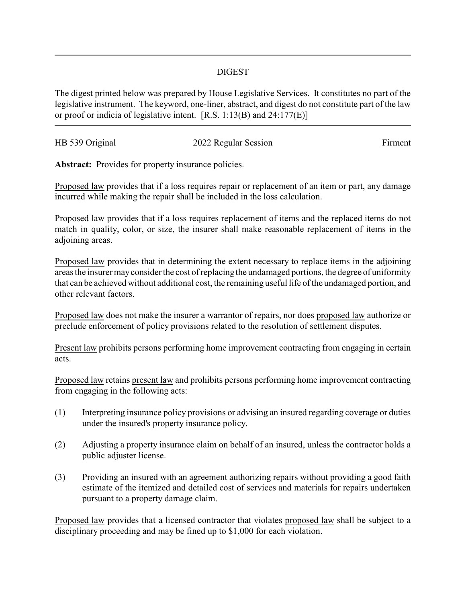## DIGEST

The digest printed below was prepared by House Legislative Services. It constitutes no part of the legislative instrument. The keyword, one-liner, abstract, and digest do not constitute part of the law or proof or indicia of legislative intent. [R.S. 1:13(B) and 24:177(E)]

| HB 539 Original | 2022 Regular Session | Firment |
|-----------------|----------------------|---------|
|                 |                      |         |

Abstract: Provides for property insurance policies.

Proposed law provides that if a loss requires repair or replacement of an item or part, any damage incurred while making the repair shall be included in the loss calculation.

Proposed law provides that if a loss requires replacement of items and the replaced items do not match in quality, color, or size, the insurer shall make reasonable replacement of items in the adjoining areas.

Proposed law provides that in determining the extent necessary to replace items in the adjoining areas the insurer may consider the cost of replacing the undamaged portions, the degree of uniformity that can be achieved without additional cost, the remaining useful life of the undamaged portion, and other relevant factors.

Proposed law does not make the insurer a warrantor of repairs, nor does proposed law authorize or preclude enforcement of policy provisions related to the resolution of settlement disputes.

Present law prohibits persons performing home improvement contracting from engaging in certain acts.

Proposed law retains present law and prohibits persons performing home improvement contracting from engaging in the following acts:

- (1) Interpreting insurance policy provisions or advising an insured regarding coverage or duties under the insured's property insurance policy.
- (2) Adjusting a property insurance claim on behalf of an insured, unless the contractor holds a public adjuster license.
- (3) Providing an insured with an agreement authorizing repairs without providing a good faith estimate of the itemized and detailed cost of services and materials for repairs undertaken pursuant to a property damage claim.

Proposed law provides that a licensed contractor that violates proposed law shall be subject to a disciplinary proceeding and may be fined up to \$1,000 for each violation.